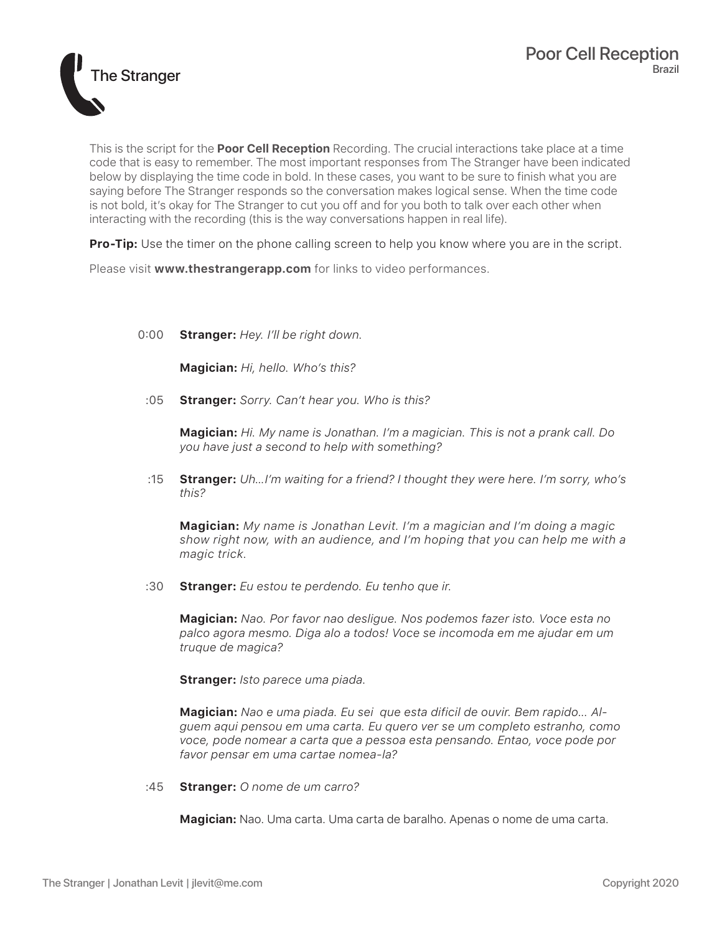

This is the script for the **Poor Cell Reception** Recording. The crucial interactions take place at a time code that is easy to remember. The most important responses from The Stranger have been indicated below by displaying the time code in bold. In these cases, you want to be sure to finish what you are saying before The Stranger responds so the conversation makes logical sense. When the time code is not bold, it's okay for The Stranger to cut you off and for you both to talk over each other when interacting with the recording (this is the way conversations happen in real life).

**Pro-Tip:** Use the timer on the phone calling screen to help you know where you are in the script.

Please visit **www.thestrangerapp.com** for links to video performances.

## 0:00 **Stranger:** *Hey. I'll be right down.*

**Magician:** *Hi, hello. Who's this?*

:05 **Stranger:** *Sorry. Can't hear you. Who is this?*

**Magician:** *Hi. My name is Jonathan. I'm a magician. This is not a prank call. Do you have just a second to help with something?*

:15 **Stranger:** *Uh…I'm waiting for a friend? I thought they were here. I'm sorry, who's this?*

**Magician:** *My name is Jonathan Levit. I'm a magician and I'm doing a magic show right now, with an audience, and I'm hoping that you can help me with a magic trick.*

:30 **Stranger:** *Eu estou te perdendo. Eu tenho que ir.*

**Magician:** *Nao. Por favor nao desligue. Nos podemos fazer isto. Voce esta no palco agora mesmo. Diga alo a todos! Voce se incomoda em me ajudar em um truque de magica?*

**Stranger:** *Isto parece uma piada.*

**Magician:** *Nao e uma piada. Eu sei que esta dificil de ouvir. Bem rapido... Alguem aqui pensou em uma carta. Eu quero ver se um completo estranho, como voce, pode nomear a carta que a pessoa esta pensando. Entao, voce pode por favor pensar em uma cartae nomea-la?*

:45 **Stranger:** *O nome de um carro?*

**Magician:** Nao. Uma carta. Uma carta de baralho. Apenas o nome de uma carta.